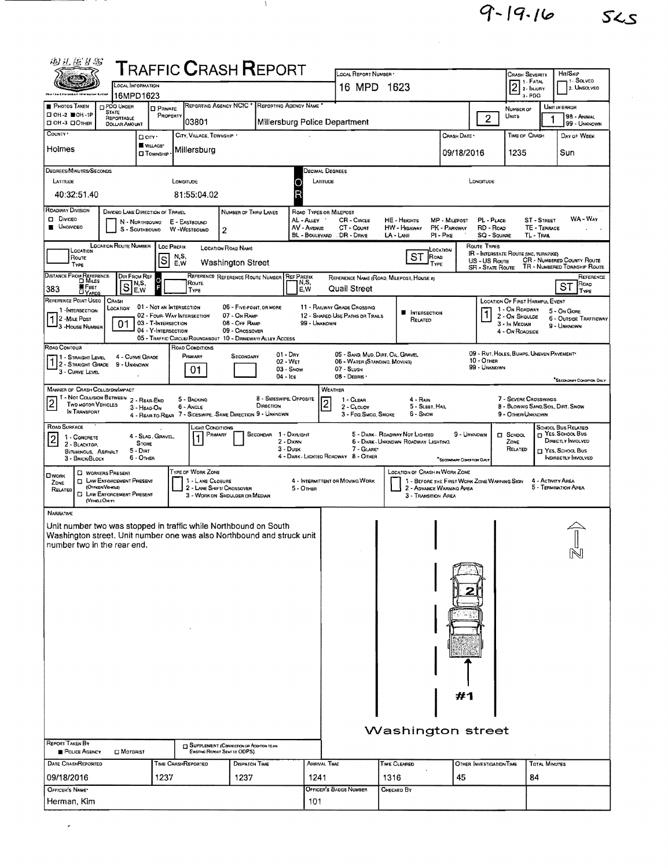$9 - 19 - 16$ 

**SLS** 

| 羽孔运牙名                                                                                                                                                                                  |                                                                                                                      |                                  |                                            | <b>T</b> RAFFIC <b>C</b> RASH <b>R</b> EPORT                                             |                                                             |                                       |                                            | LOCAL REPORT NUMBER                                              |                                                                                                                                  |                                                 |                                                      | CRASH SEVERITY                                                                  |                                               | Hm/SKIP                                                           |
|----------------------------------------------------------------------------------------------------------------------------------------------------------------------------------------|----------------------------------------------------------------------------------------------------------------------|----------------------------------|--------------------------------------------|------------------------------------------------------------------------------------------|-------------------------------------------------------------|---------------------------------------|--------------------------------------------|------------------------------------------------------------------|----------------------------------------------------------------------------------------------------------------------------------|-------------------------------------------------|------------------------------------------------------|---------------------------------------------------------------------------------|-----------------------------------------------|-------------------------------------------------------------------|
|                                                                                                                                                                                        |                                                                                                                      | LOCAL INFORMATION                |                                            |                                                                                          |                                                             |                                       |                                            | 16 MPD 1623                                                      |                                                                                                                                  |                                                 |                                                      | 2 <sup>1. FATAL</sup>                                                           |                                               | 1- SOLVEO<br>2. UNSOLVED                                          |
| <b>PHOTOS TAKEN</b>                                                                                                                                                                    | <b>DPDO UNDER</b>                                                                                                    | 16MPD1623                        | <b>D</b> PRIVATE                           |                                                                                          | REPORTING AGENCY NCIC                                       | REPORTING AGENCY NAME                 |                                            |                                                                  |                                                                                                                                  |                                                 |                                                      | $3 - PDO$                                                                       |                                               | UNIT IN ERROR                                                     |
| □ 0Н-2 ■ 0Н-1Р<br>П ОН-3 ПОТНЕВ                                                                                                                                                        | <b>STATE</b><br>REPORTABLE<br><b>DOLLAR AMOUNT</b>                                                                   |                                  | PROPERTY                                   | 03801                                                                                    |                                                             |                                       |                                            | Millersburg Police Department                                    |                                                                                                                                  |                                                 | $\overline{2}$                                       | NUMBER OF<br>Units                                                              |                                               | 98 - ANGIAL<br>99 - UNKNOWN                                       |
| COUNTY <sup>.</sup>                                                                                                                                                                    |                                                                                                                      |                                  | □ city ·                                   | CITY, VILLAGE, TOWNSHIP                                                                  |                                                             |                                       |                                            |                                                                  |                                                                                                                                  | CRASH DATE                                      |                                                      | TIME OF CRASH                                                                   |                                               | DAY OF WEEK                                                       |
| Holmes                                                                                                                                                                                 |                                                                                                                      |                                  | <b>■ VILLAGE*</b><br><b>O</b> TOWNSHIP     | Millersburg                                                                              |                                                             |                                       |                                            |                                                                  |                                                                                                                                  | 09/18/2016                                      |                                                      | 1235                                                                            |                                               | Sun                                                               |
|                                                                                                                                                                                        |                                                                                                                      |                                  |                                            |                                                                                          |                                                             |                                       |                                            |                                                                  |                                                                                                                                  |                                                 |                                                      |                                                                                 |                                               |                                                                   |
| DEGREES/MINUTES/SECONDS<br>LATITUDE                                                                                                                                                    |                                                                                                                      |                                  |                                            | LONGITUDE                                                                                |                                                             |                                       |                                            | <b>DECIMAL DEGREES</b><br>LATITUDE                               |                                                                                                                                  |                                                 | Longitupe                                            |                                                                                 |                                               |                                                                   |
| 40:32:51.40                                                                                                                                                                            |                                                                                                                      |                                  |                                            | 81:55:04.02                                                                              |                                                             |                                       |                                            |                                                                  |                                                                                                                                  |                                                 |                                                      |                                                                                 |                                               |                                                                   |
| ROADWAY DIVISION                                                                                                                                                                       |                                                                                                                      |                                  | DIVIDED LANE DIRECTION OF TRAVEL           |                                                                                          | NUMBER OF THRU LANES                                        |                                       |                                            | ROAD TYPES OR MILEPOST                                           |                                                                                                                                  |                                                 |                                                      |                                                                                 |                                               |                                                                   |
| <b>D</b> Divideo<br><b>UNONIDED</b>                                                                                                                                                    |                                                                                                                      |                                  | N - NORTHBOUND<br>S - SOUTHBOUND           | E - EASTBOUND<br>W -WESTBOUND                                                            | $\mathbf{2}$                                                |                                       | AL - Auey<br>AV - AVENUE<br>BL - BOULEVARD | CR-CincLE<br>CT - COURT<br>$CDR - DRNE$                          | HE - HEIGHTS<br>HW - Highway<br>LA - LANE                                                                                        | MP - MILEPOST<br>PK - PARKWAY<br>$PI - P_{IKE}$ | PL - PUCE<br>RD - Road<br><b>SQ - SQUARE</b>         |                                                                                 | <b>ST - STREET</b><br>TE - TERRACE<br>TL-TRAL | WA - WAY                                                          |
| LOCATION<br>Route                                                                                                                                                                      | <b>LOCATION ROUTE NUMBER</b>                                                                                         |                                  | <b>LOC PREFIX</b>                          | N,S,                                                                                     | <b>LOCATION ROAD NAME</b>                                   |                                       |                                            |                                                                  | <b>ST</b><br>Roso                                                                                                                | LOCATION                                        | Route Types<br>IR - INTERSTATE ROUTE (INC. TURNPIKE) |                                                                                 |                                               |                                                                   |
| Type                                                                                                                                                                                   |                                                                                                                      |                                  | S                                          | E.W                                                                                      | <b>Washington Street</b>                                    |                                       |                                            |                                                                  | TYPE                                                                                                                             |                                                 | US - US Route<br>SR - State Route                    |                                                                                 |                                               | <b>CR - NUMBERED COUNTY ROUTE</b><br>TR - NUMBERED TOWNSHIP ROUTE |
| DISTANCE FROM REFERENCE<br><b>R</b> FEET<br> 383<br>DY <sub>ARDS</sub>                                                                                                                 |                                                                                                                      | DIR FROM REF<br>N,S,<br>S<br>E,W |                                            | Route<br>TYPE                                                                            | REFERENCE REFERENCE ROUTE NUMBER                            |                                       | <b>REF PREFIX</b><br>N,S,<br>E.W           | Quail Street                                                     | REFERENCE NAME (ROAD, MILEPOST, HOUSE 4)                                                                                         |                                                 |                                                      |                                                                                 |                                               | REFERENCE<br>ROAD<br>ST<br>Type                                   |
| REFERENCE POINT USED<br>1 INTERSECTION                                                                                                                                                 | CRASH<br>LOCATION                                                                                                    |                                  | 01 - NOT AN INTERSECTION                   |                                                                                          | 06 - FIVE-POINT, OR MORE                                    |                                       |                                            | 11 - RAILWAY GRADE CROSSING                                      |                                                                                                                                  |                                                 |                                                      | LOCATION OF FIRST HARMFUL EVENT<br>1 - On ROADWAY                               |                                               |                                                                   |
| 1 2 - Mile Post<br><sup>1</sup> 3 - House Number                                                                                                                                       | 01                                                                                                                   |                                  | 03 - T-Intersection<br>04 - Y-INTERSECTION | 02 - FOUR- WAY INTERSECTION<br>05 - TRAFFIC CIRCLE/ROUNDABOUT 10 - DRNEWAY/ ALLEY ACCESS | 07 - On RAMP<br>08 - Off RAMP<br>09 - CROSSOVER             |                                       | 99 - UNKNDWN                               | 12 - SHARED-USE PATHS OR TRAILS                                  | <b>NIERSECTION</b><br>RELATED                                                                                                    |                                                 |                                                      | 2 - On Shoulde<br>3 - In Median<br>4 - On Roadside                              |                                               | 5 - On Gone<br>6 - OUTSIDE TRAFFICWAY<br>9 - UNKNOWN              |
| ROAD CONTOUR                                                                                                                                                                           |                                                                                                                      |                                  |                                            | ROAD CONDITIONS                                                                          |                                                             | $01 - \text{Div}$                     |                                            | 05 - SAND, MUD, DIRT, OIL, GRAVEL                                |                                                                                                                                  |                                                 | 09 - Rut, HOLES, BUMPS, UNEVEN PAVEMENT              |                                                                                 |                                               |                                                                   |
| 11 - Straight Level<br>1 2 - STRAIGHT GRADE 9 - UNKNOWN<br>3 - CURVE LEVEL                                                                                                             |                                                                                                                      | 4 - CURVE GRADE                  |                                            | PRIMARY<br>01                                                                            | SECONDARY                                                   | 02 - WET<br>$03 -$ SNOW<br>$04 -$ ICE |                                            | 06 - WATER (STANDING, MOVING)<br>07 - SLUSH<br>08 - DEBRIS       |                                                                                                                                  |                                                 | 10 - Отнев<br>99 - Unknown                           |                                                                                 |                                               | "SECONDARY CONDITION ONLY                                         |
| <b>MANNER OF CRASH COLLISION/IMPACT</b><br>1 1 - Not Collision Between 2 - Rear-End                                                                                                    |                                                                                                                      |                                  |                                            |                                                                                          |                                                             |                                       |                                            | WEATHER                                                          |                                                                                                                                  |                                                 |                                                      |                                                                                 |                                               |                                                                   |
| $\overline{2}$<br><b>TWO MOTOR VEHICLES</b><br>IN TRANSPORT                                                                                                                            |                                                                                                                      |                                  | 3 - HEAD-ON                                | 5 - BACKING<br>6 - ANGLE<br>4 - REAR TO REAR 7 - SIDESWIPE, SAME DIRECTION 9 - UNKNOWN   |                                                             | 8 - SIDESWIPE, OPPOSITE<br>DIRECTION  |                                            | 1 - CLEAR<br>$\overline{c}$<br>2 - CLOUDY<br>3 - Fog Smog, Smoke | 4 - Rain<br>5 - Sleet, Hail<br>5 - Snow                                                                                          |                                                 |                                                      | 7 - SEVERE CROSSWINDS<br>8 - BLOWING SAND, SOL, DIRT, SNOW<br>9 - OTHER/UNKNOWN |                                               |                                                                   |
| ROAD SURFACE                                                                                                                                                                           |                                                                                                                      |                                  |                                            | <b>LIGHT CONDITIONS</b>                                                                  |                                                             | SECONDAR 1 - DAYLIGHT                 |                                            |                                                                  | 5 - DARK - ROADWAY NOT LIGHTED                                                                                                   | 9 - Unknown                                     |                                                      |                                                                                 |                                               | SCHOOL BUS RELATED<br><b>Execution</b> Bus                        |
| 1 - CONCRETE<br>$\overline{\mathbf{c}}$<br>2 - BLACKTOP.<br><b>BITUMINOUS, ASPHALT</b><br>3 - BRICK/BLOCK                                                                              |                                                                                                                      | $5 - DIRT$<br>6 - OTHER          | 4 - Slag Gravel,<br><b>STONE</b>           | PRIMARY                                                                                  |                                                             | 2 - Dawn<br>3 - Dusk                  |                                            | 7 - GLARE<br>4 - DARK - LIGHTED ROADWAY 8 - OTHER                | 6 - DARK - UNKNOWN ROADWAY LIGHTING                                                                                              | "SECONDARY COMOTION CML                         |                                                      | <b>El School</b><br>ZONE<br>RELATED                                             |                                               | DIRECTLY INVOLVED<br>YES, SCHOOL BUS<br>INDIRECTLY INVOLVED       |
| $\square$ WORK<br>ZONE<br>RELATED                                                                                                                                                      | <b>CI WORKERS PRESENT</b><br><b>CI LAW ENFORCEMENT PRESENT</b><br>(OFFCERVENDE)<br><b>CI LAW ENFORCEMENT PRESENT</b> |                                  |                                            | TYPE OF WORK ZONE<br>1 - LANE CLOSURE                                                    | 2 - LANE SHIFT/ CROSSOVER<br>3 - WORK ON SHOULDER OR MEDIAN |                                       | 5 - OTHER                                  | 4 - INTERMITTENT OR MOVING WORK                                  | LOCATION OF CRASH IN WORK ZONE<br>1 - BEFORE THE FIRST WORK ZONE WARNING SIGN<br>2 - ADVANCE WARNING AREA<br>3 - TRANSITION AREA |                                                 |                                                      |                                                                                 | 4 - Activity Area                             | 5 - TERMINATION AREA                                              |
|                                                                                                                                                                                        | (VEHOLEOMY)                                                                                                          |                                  |                                            |                                                                                          |                                                             |                                       |                                            |                                                                  |                                                                                                                                  |                                                 |                                                      |                                                                                 |                                               |                                                                   |
| NARRATIVE<br>Unit number two was stopped in traffic while Northbound on South<br>Washington street. Unit number one was also Northbound and struck unit<br>number two in the rear end. |                                                                                                                      |                                  |                                            |                                                                                          |                                                             |                                       |                                            |                                                                  |                                                                                                                                  |                                                 |                                                      |                                                                                 |                                               |                                                                   |
|                                                                                                                                                                                        |                                                                                                                      |                                  |                                            |                                                                                          |                                                             |                                       |                                            |                                                                  |                                                                                                                                  |                                                 |                                                      |                                                                                 |                                               | N                                                                 |
|                                                                                                                                                                                        |                                                                                                                      |                                  |                                            |                                                                                          |                                                             |                                       |                                            |                                                                  |                                                                                                                                  |                                                 |                                                      |                                                                                 |                                               |                                                                   |
|                                                                                                                                                                                        |                                                                                                                      |                                  |                                            |                                                                                          |                                                             |                                       |                                            |                                                                  |                                                                                                                                  |                                                 |                                                      |                                                                                 |                                               |                                                                   |
|                                                                                                                                                                                        |                                                                                                                      |                                  |                                            |                                                                                          |                                                             |                                       |                                            |                                                                  |                                                                                                                                  |                                                 |                                                      |                                                                                 |                                               |                                                                   |
|                                                                                                                                                                                        |                                                                                                                      |                                  |                                            |                                                                                          |                                                             |                                       |                                            |                                                                  |                                                                                                                                  |                                                 |                                                      |                                                                                 |                                               |                                                                   |
|                                                                                                                                                                                        |                                                                                                                      |                                  |                                            |                                                                                          |                                                             |                                       |                                            |                                                                  |                                                                                                                                  |                                                 |                                                      |                                                                                 |                                               |                                                                   |
|                                                                                                                                                                                        |                                                                                                                      |                                  |                                            |                                                                                          |                                                             |                                       |                                            |                                                                  |                                                                                                                                  |                                                 |                                                      |                                                                                 |                                               |                                                                   |
|                                                                                                                                                                                        |                                                                                                                      |                                  |                                            |                                                                                          |                                                             |                                       |                                            |                                                                  |                                                                                                                                  |                                                 |                                                      |                                                                                 |                                               |                                                                   |
|                                                                                                                                                                                        |                                                                                                                      |                                  |                                            |                                                                                          |                                                             |                                       |                                            |                                                                  |                                                                                                                                  |                                                 |                                                      |                                                                                 |                                               |                                                                   |
|                                                                                                                                                                                        |                                                                                                                      |                                  |                                            |                                                                                          |                                                             |                                       |                                            |                                                                  |                                                                                                                                  | #1                                              |                                                      |                                                                                 |                                               |                                                                   |
|                                                                                                                                                                                        |                                                                                                                      |                                  |                                            |                                                                                          |                                                             |                                       |                                            |                                                                  |                                                                                                                                  |                                                 |                                                      |                                                                                 |                                               |                                                                   |
|                                                                                                                                                                                        |                                                                                                                      |                                  |                                            |                                                                                          |                                                             |                                       |                                            |                                                                  | Washington street                                                                                                                |                                                 |                                                      |                                                                                 |                                               |                                                                   |
| <b>REPORT TAKEN BY</b>                                                                                                                                                                 |                                                                                                                      |                                  |                                            |                                                                                          | <b>CI SUPPLEMENT (CORRECTION OR ADDITION TO AN</b>          |                                       |                                            |                                                                  |                                                                                                                                  |                                                 |                                                      |                                                                                 |                                               |                                                                   |
| POLICE AGENCY<br>DATE CRASHREPORTED                                                                                                                                                    |                                                                                                                      | <b>C</b> MOTORIST                |                                            | TIME CRASHREPORTED                                                                       | <b>ENSTING REPORT SENT 10 ODPS)</b><br><b>DISPATCH TIME</b> |                                       |                                            | ARRIVAL TIME                                                     | TIME CLEARED                                                                                                                     |                                                 | OTHER INVESTIGATION TIME                             |                                                                                 | <b>TOTAL MINUTES</b>                          |                                                                   |
| 09/18/2016                                                                                                                                                                             |                                                                                                                      |                                  | 1237                                       |                                                                                          | 1237                                                        |                                       | 1241                                       |                                                                  | 1316                                                                                                                             | 45                                              |                                                      |                                                                                 | 84                                            |                                                                   |
| OFFICER'S NAME'                                                                                                                                                                        |                                                                                                                      |                                  |                                            |                                                                                          |                                                             |                                       |                                            | OFFICER'S BADGE NUMBER                                           | Снескер Вү                                                                                                                       |                                                 |                                                      |                                                                                 |                                               |                                                                   |
| Herman, Kim                                                                                                                                                                            |                                                                                                                      |                                  |                                            |                                                                                          |                                                             |                                       | 101                                        |                                                                  |                                                                                                                                  |                                                 |                                                      |                                                                                 |                                               |                                                                   |

 $\mathcal{A}$ 

 $\epsilon$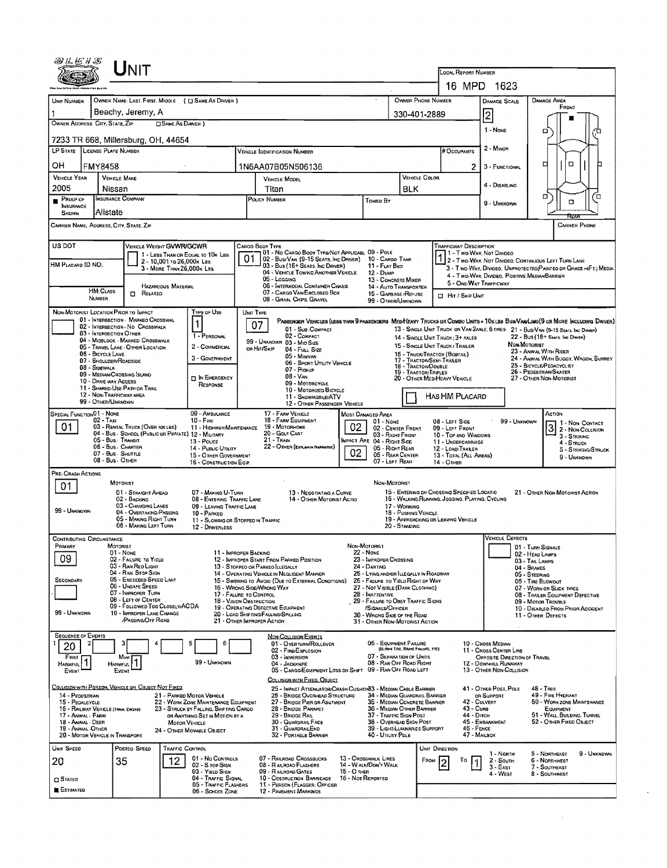|                                                                          |                                             | UNIT                                                                                   |                            |                                                                          |           |                                                                                                                               |                                   |                                                                                           |                                             |               |                                                                                     |                                                      |                        |                                                                                                                  |                                                          |                     |
|--------------------------------------------------------------------------|---------------------------------------------|----------------------------------------------------------------------------------------|----------------------------|--------------------------------------------------------------------------|-----------|-------------------------------------------------------------------------------------------------------------------------------|-----------------------------------|-------------------------------------------------------------------------------------------|---------------------------------------------|---------------|-------------------------------------------------------------------------------------|------------------------------------------------------|------------------------|------------------------------------------------------------------------------------------------------------------|----------------------------------------------------------|---------------------|
|                                                                          |                                             |                                                                                        |                            |                                                                          |           |                                                                                                                               |                                   |                                                                                           |                                             |               | LOCAL REPORT NUMBER<br>16 MPD 1623                                                  |                                                      |                        |                                                                                                                  |                                                          |                     |
|                                                                          |                                             |                                                                                        |                            | OWNER NAME: LAST, FIRST, MIDDLE ( E SAME AS DRIVER )                     |           |                                                                                                                               |                                   |                                                                                           | OWNER PHONE NUMBER                          |               |                                                                                     |                                                      |                        | DAMAGE AREA                                                                                                      |                                                          |                     |
| UNIT NUMBER<br>$\mathbf{1}$                                              |                                             | Beachy, Jeremy, A                                                                      |                            |                                                                          |           |                                                                                                                               |                                   |                                                                                           |                                             |               |                                                                                     | DAMAGE SCALE                                         |                        |                                                                                                                  | FRONT                                                    |                     |
| OWNER ADDRESS. CITY, STATE, ZIP                                          |                                             |                                                                                        | <b>CISAME AS DAINER</b> )  |                                                                          |           |                                                                                                                               |                                   |                                                                                           | 330-401-2889                                |               |                                                                                     | 2                                                    |                        |                                                                                                                  |                                                          |                     |
|                                                                          |                                             | 7233 TR 668, Millersburg, OH, 44654                                                    |                            |                                                                          |           |                                                                                                                               |                                   |                                                                                           |                                             |               |                                                                                     | 1 - None                                             |                        | ם                                                                                                                |                                                          |                     |
| LP STATE LICENSE PLATE NUMBER                                            |                                             |                                                                                        |                            |                                                                          |           | <b>VEHICLE IDENTIFICATION NUMBER</b>                                                                                          |                                   |                                                                                           |                                             |               | # Occupants                                                                         | 2 - MINOR                                            |                        |                                                                                                                  |                                                          |                     |
| ОН                                                                       | FMY8458                                     |                                                                                        |                            |                                                                          |           | 1N6AA07B05N506136                                                                                                             |                                   |                                                                                           |                                             |               | 2.                                                                                  | 3 - FUNCTIONAL                                       |                        | п                                                                                                                | O                                                        |                     |
| <b>VEHICLE YEAR</b><br>2005                                              |                                             | <b>VEHICLE MAKE</b>                                                                    |                            |                                                                          |           | <b>VEHICLE MODEL</b>                                                                                                          |                                   |                                                                                           |                                             | VEHICLE COLOR |                                                                                     | 4 - DISABLING                                        |                        |                                                                                                                  |                                                          |                     |
| PROOF OF                                                                 | Nissan                                      | <b>INSURANCE COMPANY</b>                                                               |                            |                                                                          |           | Titan<br>POLICY NUMBER                                                                                                        |                                   | Toweo By                                                                                  | BLK                                         |               |                                                                                     |                                                      |                        | o                                                                                                                | □                                                        |                     |
| INSURANCE<br>SHOWN                                                       | Allstate                                    |                                                                                        |                            |                                                                          |           |                                                                                                                               |                                   |                                                                                           |                                             |               |                                                                                     | 9 - UHKNOWN                                          |                        |                                                                                                                  |                                                          |                     |
| CARRIER NAME, ADDRESS, CITY, STATE, ZIP                                  |                                             |                                                                                        |                            |                                                                          |           |                                                                                                                               |                                   |                                                                                           |                                             |               |                                                                                     |                                                      |                        |                                                                                                                  | <b>CARRIER PHDNE</b>                                     |                     |
| US DOT                                                                   |                                             | VEHICLE WEIGHT GVWR/GCWR                                                               |                            |                                                                          |           | CARGO BODY TYPE<br>01 - No CARGO BOOY TYPE/NOT APPLICABL 09 - POLE                                                            |                                   |                                                                                           |                                             |               | <b>TRAFFICWAY DESCRIPTION</b>                                                       |                                                      |                        |                                                                                                                  |                                                          |                     |
| HM PLACARD ID NO.                                                        |                                             |                                                                                        | 2 - 10,001 to 26,000x Las  | 1 - LESS THAN OR EQUAL TO 10K LBS                                        |           | 02 - Bus/Van (9-15 Seats, Inc Driver)<br>03 - Bus (16+ Seats, Inc DRIVER)                                                     |                                   | 10 - CARGO TANK<br>11 - FLAT BEO                                                          |                                             |               | 1 - T WO WAY, NOT DIVIDEO<br>1 2 - T WO-WAY, NOT DIVIDEO, CONTINUOUS LEFT TURN LANE |                                                      |                        |                                                                                                                  |                                                          |                     |
|                                                                          |                                             |                                                                                        | 3 - MORE THAN 26,000K LBS. |                                                                          |           | 04 - VEHICLE TOWING ANOTHER VEHICLE<br>05 - Locging                                                                           |                                   | 12 - Duwe<br>13 - CONCRETE MIXER                                                          |                                             |               |                                                                                     |                                                      |                        | 3 - Two-Way, Divideo, Unprotecteo(Painteo or Grass >4FT.) Media<br>4 - Two-Way, Divideo, Positive Median Barrier |                                                          |                     |
|                                                                          | <b>HM CLASS</b>                             | $\Box$ Related                                                                         | HAZAROOUS MATERIAL         |                                                                          |           | 06 - INTERMODAL CONTAINER CHASIS<br>07 - CARGO VAN ENCLOSED BOX                                                               |                                   | 14 - Auto TRANSPORTER<br>15 - GARBAGE / REFUSE                                            |                                             |               | 5 - ONE-WAY TRAFFICWAY                                                              |                                                      |                        |                                                                                                                  |                                                          |                     |
|                                                                          | NUMBER                                      |                                                                                        |                            |                                                                          |           | 08 - GRAIN, CHPS, GRAVEL                                                                                                      |                                   | 99 - OTHER/UNKNOWN                                                                        |                                             |               | <b>D</b> Hr / Skip Unit                                                             |                                                      |                        |                                                                                                                  |                                                          |                     |
|                                                                          |                                             | NON-MOTORIST LOCATION PRIOR TO IMPACT<br>01 - INTERSECTION - MARKEO CROSSWAL           |                            | TYPE OF USE                                                              | UNIT TYPE | PASSENGER VEHICLES (LESS THAN 9 PASSENGERS MEDIMEANY TRUCKS OR COMBO UNITS > 10K LBB BUS/VAN/LIMO(9 OR MORE INCLUDING DRIVER) |                                   |                                                                                           |                                             |               |                                                                                     |                                                      |                        |                                                                                                                  |                                                          |                     |
|                                                                          | 03 - INTERSECTION OTHER                     | 02 - INTERSECTION - NO CROSSWALK                                                       |                            | 1<br>1 - PERSONAL                                                        |           | 07<br>01 - Sub-COMPACT<br>02 - COMPACT                                                                                        |                                   |                                                                                           |                                             |               | 13 - SINGLE UNIT TRUCK OR VAN 2AXLE, 6 TIRES 21 - BUS/VAN (9-15 SEATS, INC DRIVER)  |                                                      |                        | 22 - BUS (16+ Seats, Inc Drever)                                                                                 |                                                          |                     |
|                                                                          |                                             | 04 - MIOBLOCK - MARKED CROSSWALK<br>05 - TRAVEL LANE - OTHER LOCATION                  |                            | 2 - COMMERCIAL                                                           |           | 99 - UNKNOWN 03 - MIO SIZE<br>OR HIT/SKIP<br>04 - FULL SIZE                                                                   |                                   |                                                                                           |                                             |               | 14 - SINGLE UNIT TRUCK; 3+ AXLES<br>15 - SINGLE UNIT TRUCK / TRAILER                |                                                      | Nan-Motorist           | 23 - ANIMAL WITH RIDER                                                                                           |                                                          |                     |
|                                                                          | 06 - BICYCLE LANE<br>07 - SHOULDER/ROADSIDE |                                                                                        |                            | 3 - GOVERNMENT                                                           |           | 05 - Minivan<br>06 - SPORT UTILITY VEHICLE                                                                                    |                                   |                                                                                           |                                             |               | 16 - TRUCK/TRACTOR (BOSTAIL)<br>17 - TRACTOR/SEMI-TRAILER                           |                                                      |                        | 24 - ANIMAL WITH BUGGY, WAGON, SURREY<br>25 - BICYCLE/PEDACYCLIST                                                |                                                          |                     |
|                                                                          | 08 - SIDEWALK                               | 09 - MEDIAN/CROSSING ISLAND                                                            |                            | <b>DIN EMERGENCY</b>                                                     |           | 07 - Pickup<br>$08 - V_{AN}$                                                                                                  |                                   |                                                                                           | 18 - TRACTOR/DOUBLE<br>19 - TRACTOR/TRIPLES |               | 20 - OTHER MED/HEAVY VEHICLE                                                        |                                                      |                        | 26 - PEDESTRIAN/SKATER<br>27 - OTHER NON-MOTORIST                                                                |                                                          |                     |
|                                                                          | 10 - DRIVE WAY ACCESS                       | 11 - SHARED-USE PATH OR TRAIL                                                          |                            | RESPONSE                                                                 |           | 09 - MOTORCYCLE<br>10 - MOTORIZED BICYCLE                                                                                     |                                   |                                                                                           |                                             |               |                                                                                     |                                                      |                        |                                                                                                                  |                                                          |                     |
|                                                                          | 99 - OTHER/UNKNOWN                          | 12 - NON-TRAFFICWAY AREA                                                               |                            |                                                                          |           | 11 - SNOWMOBILE/ATV<br>12 - OTHER PASSENGER VEHICLE                                                                           |                                   |                                                                                           |                                             |               | HAS HM PLACARD                                                                      |                                                      |                        |                                                                                                                  |                                                          |                     |
| SPECIAL FUNCTION 01 - NONE                                               | 02 - Тахі                                   |                                                                                        |                            | 09 - AMBULANCE<br>$10 -$ Fire                                            |           | 17 - FARM VEHICLE<br>18 - FARM EQUIPMENT                                                                                      |                                   | MOST DAMAGED AREA<br>$01 - None$                                                          |                                             |               | 08 - LEFT SIDE                                                                      |                                                      | 99 - UNKNOWN           | Action                                                                                                           |                                                          |                     |
| 01.                                                                      |                                             | 03 - RENTAL TRUCK (OVER 10KLBS)<br>04 - BUS - SCHOOL (PUBLIC OR PRIVATE) 12 - MILITARY |                            | 11 - HIGHWAY/MAINTENANCE                                                 |           | 19 - Мотовноме<br>20 - GOLF CART                                                                                              | 02.                               | 02 - CENTER FRONT<br>03 - RIGHT FRONT                                                     |                                             |               | 09 - LEFT FRONT<br>10 - TOP AND WINDOWS                                             |                                                      |                        |                                                                                                                  | 3 1 - Non-Contact<br>3 2 - Non-Collision<br>3 - STRIKING |                     |
|                                                                          |                                             | 05 - Bus Transit<br>06 - Bus - Charter                                                 |                            | 13 - POLICE<br>14 - Pusuc Utruty                                         |           | $21 -$ Train<br>22 - OTHER (EXPLAN IN NARRATIVE)                                                                              |                                   | MPACT ARE 04 - RIGHT SIDE<br>05 - RIGHT REAR                                              |                                             |               | 11 - UNDERCARRIAGE<br>12 - LOAD/TRAILER                                             |                                                      |                        |                                                                                                                  | 4 - STRUCK                                               | 5 - STRIKING/STRUCK |
|                                                                          | 08 - Bus . OTHER                            | 07 - Bus - SHUTTLE                                                                     |                            | 15 - OTHER GOVERNMENT<br>16 - CONSTRUCTION EQUP.                         |           |                                                                                                                               | 02                                | 06 - REAR CENTER<br>07 - LEFT REAR                                                        |                                             |               | <b>13 - TOTAL (ALL AREAS)</b><br>14 - OTHER                                         |                                                      |                        |                                                                                                                  | 9 - UNKNOWN                                              |                     |
| PRE-CRASH ACTIONS                                                        |                                             |                                                                                        |                            |                                                                          |           |                                                                                                                               |                                   |                                                                                           |                                             |               |                                                                                     |                                                      |                        |                                                                                                                  |                                                          |                     |
| 01                                                                       |                                             | MOTORIST<br>01 - STRAIGHT AHEAD                                                        |                            | 07 - MAKING U-TURN                                                       |           | 13 - NEGOTIATING A CURVE                                                                                                      |                                   | NON-MOTORIST                                                                              |                                             |               | 15 - ENTERING OR CROSSING SPECIFIED LOCATIO                                         |                                                      |                        | 21 - OTHER NON-MOTORIST ACTION                                                                                   |                                                          |                     |
|                                                                          |                                             | 02 - BACKING<br>03 - CHANGING LANES                                                    |                            | 08 - ENTERING TRAFFIC LANE<br>09 - LEAVING TRAFFIC LANE                  |           | 14 - OTHER MOTORIST ACTIO                                                                                                     |                                   |                                                                                           | 17 - WORKING                                |               | 16 - WALKING.RUNNING, JOGGING, PLAYING, CYCLING                                     |                                                      |                        |                                                                                                                  |                                                          |                     |
| 99 - UNKNOWN                                                             |                                             | 04 - OVERTAKING/PASSING<br>05 - MAXING RIGHT TURN                                      |                            | 10 - PARKED<br>11 - SLOWING OR STOPPED IN TRAFFIC                        |           |                                                                                                                               |                                   |                                                                                           | <b>18 - Pushing Vehicle</b>                 |               | 19 - APPROACHING OR LEAVING VEHICLE                                                 |                                                      |                        |                                                                                                                  |                                                          |                     |
|                                                                          |                                             | 06 - MAKING LEFT TURN                                                                  |                            | 12 - DRAVERLESS                                                          |           |                                                                                                                               |                                   |                                                                                           | 20 - STANDING                               |               |                                                                                     |                                                      | <b>VEHICLE DEFECTS</b> |                                                                                                                  |                                                          |                     |
| <b>CONTRIBUTING CIRCUMSTANCE</b><br>PRIMARY                              |                                             | MOTORIST                                                                               |                            |                                                                          |           |                                                                                                                               |                                   | Non-Motorist                                                                              |                                             |               |                                                                                     |                                                      |                        | 01 - TURN SIGNALS                                                                                                |                                                          |                     |
| 09                                                                       |                                             | 01 - NONE<br>02 - FAILURE TO YIELD<br>03 - RAN RED LIGHT                               |                            | 11 - IMPROPER BACKING                                                    |           | 12 - IMPROPER START FROM PARKED POSITION                                                                                      |                                   | 22 - None<br>23 - IMPROPER CROSSING                                                       |                                             |               |                                                                                     |                                                      |                        | 02 - Head Lamps<br>03 - TAIL LAMPS                                                                               |                                                          |                     |
| SECONDARY                                                                |                                             | 04 - RAN STOP SIGN<br>05 - Exceeped Speed LIMIT                                        |                            |                                                                          |           | 13 - STOPPEO OR PARKEO ILLEGALLY<br>14 - OPERATING VEHICLE IN NEGLIGENT MANNER                                                |                                   | 24 - DARTING<br>25 - Lying andror Illegally in Roadway                                    |                                             |               |                                                                                     |                                                      |                        | 04 - BRAKES<br>05 - STEERING                                                                                     |                                                          |                     |
|                                                                          |                                             | 06 - UNSAFE SPEED<br>07 - IMPROPER TURN                                                |                            | 17 - FALURE TO CONTROL                                                   |           | 15 - Swering to Avoio (Due to External Conditions)<br>16 - WRONG SIOE/WRONG WAY                                               |                                   | 26 - FALURE TO YIELD RIGHT OF WAY<br>27 - NOT VISIBLE (DARK CLOTHING)<br>28 - INATTENTIVE |                                             |               |                                                                                     |                                                      |                        | 06 - TIRE BLOWOUT<br>07 - WORN OR SLICK TIRES                                                                    |                                                          |                     |
|                                                                          |                                             | 08 - LEFT OF CENTER<br>09 - FOLLOWED TOO CLOSELY/ACDA                                  |                            | 18 - VISION OBSTRUCTION                                                  |           | 19 - OPERATING DEFECTIVE EQUIPMENT                                                                                            |                                   | 29 - FAILURE TO OBEY TRAFFIC SIGNS<br>/SIGNALS/OFFICER                                    |                                             |               |                                                                                     |                                                      |                        | 08 - TRAILER EQUIPMENT DEFECTIVE<br>09 - MOTOR TROUBLE<br>10 - DISABLED FROM PRIOR ACCIDENT                      |                                                          |                     |
| 99 - UNKNOWN                                                             |                                             | 10 - IMPROPER LANE CHANGE<br><b>/PASSING/OFF ROAD</b>                                  |                            |                                                                          |           | 20 - LOAD SHIFTING/FALLING/SPILLING<br>21 - OTHER IMPROPER ACTION                                                             |                                   | 30 - WRONG SIDE OF THE ROAD<br>31 - OTHER NON-MOTORIST ACTION                             |                                             |               |                                                                                     |                                                      |                        | 11 - OTHER DEFECTS                                                                                               |                                                          |                     |
| <b>SEQUENCE OF EVENTS</b>                                                |                                             |                                                                                        |                            |                                                                          |           | <b>NON-COLLISION EVENTS</b>                                                                                                   |                                   |                                                                                           |                                             |               |                                                                                     |                                                      |                        |                                                                                                                  |                                                          |                     |
| 20                                                                       |                                             |                                                                                        |                            |                                                                          |           | 01 - Overturn/Rollover<br>02 - FIRE/EXPLOSION                                                                                 |                                   | 06 - EQUIPMENT FAILURE                                                                    | (BLOWN TIME, BRAKE FAILURE, ETC)            |               |                                                                                     | 10 - Cross Median<br>11 - CROSS CENTER LINE          |                        |                                                                                                                  |                                                          |                     |
| Finst<br><b>HARMFUL</b>                                                  |                                             | Most<br><b>HARMFUL</b>                                                                 |                            | 99 - UNKNOWN                                                             |           | 03 - IMMERSION<br>04 - JACKKNIFE                                                                                              |                                   | 07 - SEPARATION OF UNITS<br>08 - RAN OFF ROAD RIGHT                                       |                                             |               |                                                                                     | OPPOSITE DIRECTION OF TRAVEL<br>12 - DOWNHEL RUNAWAY |                        |                                                                                                                  |                                                          |                     |
| EVENT                                                                    |                                             | EVENT                                                                                  |                            |                                                                          |           | 05 - CARGO/EQUIPMENT LOSS OR SHIFT<br>COLLISION WITH FIXED, OBJECT                                                            |                                   | 09 - RAN OFF ROAD LEFT                                                                    |                                             |               |                                                                                     | 13 - OTHER NON-COLLISION                             |                        |                                                                                                                  |                                                          |                     |
|                                                                          |                                             | COLLISION WITH PERSON, VEHICLE OR OBJECT NOT FIXED                                     |                            |                                                                          |           | 25 - IMPACT ATTENUATOR/CRASH CUSHION33 - MEDIAN CABLE BARRIER                                                                 |                                   |                                                                                           |                                             |               |                                                                                     | 41 - OTHER POST, POLE                                |                        | $48 -$ TREE                                                                                                      |                                                          |                     |
| 14 - PEDESTRIAN<br>15 - PEDALCYCLE                                       |                                             |                                                                                        |                            | 21 - PARKED MOTOR VEHICLE<br>22 - WORK ZONE MAINTENANCE EQUIPMENT        |           | 26 - BRIDGE OVERHEAD STRUCTURE<br>27 - BRIDGE PIER DR ABUTMENT                                                                |                                   | 34 - MEDIAN GUARDRAIL BARRIER<br>35 - MEOIAN CONCRETE BARRIER                             |                                             |               |                                                                                     | OR SUPPORT<br>42 - CULVERT                           |                        | 49 - FIRE HYDRANT<br>50 - WORK ZONE MAINTENANCE                                                                  |                                                          |                     |
| 16 - RAILWAY VEHICLE (TRAM, ENGINE)<br>17 - Animal - Farm                |                                             |                                                                                        |                            | 23 - STRUCK BY FALLING, SHIFTING CARGO<br>OR ANYTHING SET IN MOTION BY A |           | 28 - BRIDGE PARAPET<br>29 - BROGE RAIL                                                                                        |                                   | 36 - MEDIAN OTHER BARRIER<br>37 - TRAFFIC SIGN POST<br>38 - Overhead Sign Post            |                                             |               | 43 - Cuna<br>44 - Олсн                                                              | 45 - EMSANKMENT                                      |                        | <b>EQUIPMENT</b><br>51 - WALL BULDING, TUNNEL<br>52 - Отнев Fixed Овцест                                         |                                                          |                     |
| 18 - Animal Deer<br>19 - ANIMAL OTHER<br>20 - MOTOR VEHICLE IN TRANSPORT |                                             |                                                                                        | <b>MOTOR VEHICLE</b>       | 24 - OTHER MOVABLE OBJECT                                                |           | 30 - GUARDRAIL FACE<br>31 - GUARDRAILEND<br>32 - PORTABLE BARRIER                                                             |                                   | 39 - LIGHT/LUMINARIES SUPPORT<br>40 - UTILITY POLE                                        |                                             |               |                                                                                     | 46 - FENCE<br>47 - MAILBOX                           |                        |                                                                                                                  |                                                          |                     |
| UNIT SPEED                                                               |                                             | POSTED SPEED                                                                           | TRAFFIC CONTROL            |                                                                          |           |                                                                                                                               |                                   |                                                                                           |                                             |               | UNIT DIRECTION                                                                      |                                                      |                        |                                                                                                                  |                                                          |                     |
| 20                                                                       |                                             | 35                                                                                     | 12                         | 01 - No CONTROLS<br>02 - S top Sign                                      |           | 07 - RAILROAD CROSSBUCKS<br>08 - RAILROAD FLASHERS                                                                            |                                   | 13 - CROSSWALK LINES<br>14 - WALK/DON'T WALK                                              |                                             | FROM          | Τo                                                                                  | 1 - North<br>$2 -$ South                             |                        | 5 - NORTHEAST<br>6 - NORTHWEST                                                                                   |                                                          | 9 - UNKNOWN         |
| $\square$ Stateo                                                         |                                             |                                                                                        |                            | 03 - YIELD SIGN<br>04 - TRAFFIC SIGNAL                                   |           | 09 - RAILROAD GATES<br>10 - COSTRUCTION BARRICADE                                                                             | $15 - 0$ mea<br>16 - Not Reported |                                                                                           |                                             |               |                                                                                     | $3 - East$<br>4 - West                               |                        | 7 - SOUTHEAST<br>8 - SOUTHWEST                                                                                   |                                                          |                     |
| <b>ESTIMATED</b>                                                         |                                             |                                                                                        |                            | 05 - Traffic Flashers<br>06 - SCHOOL ZONE                                |           | 11 - PERSON (FLAGGER, OFFICER<br><b>12 - PAVEMENT MARKINGS</b>                                                                |                                   |                                                                                           |                                             |               |                                                                                     |                                                      |                        |                                                                                                                  |                                                          |                     |

 $\sim 10^{-1}$ 

 $\label{eq:2.1} \frac{1}{\sqrt{2}}\int_{\mathbb{R}^3}\frac{1}{\sqrt{2}}\left(\frac{1}{\sqrt{2}}\right)^2\frac{1}{\sqrt{2}}\left(\frac{1}{\sqrt{2}}\right)^2\frac{1}{\sqrt{2}}\left(\frac{1}{\sqrt{2}}\right)^2\frac{1}{\sqrt{2}}\left(\frac{1}{\sqrt{2}}\right)^2.$ 

 $\sim 400$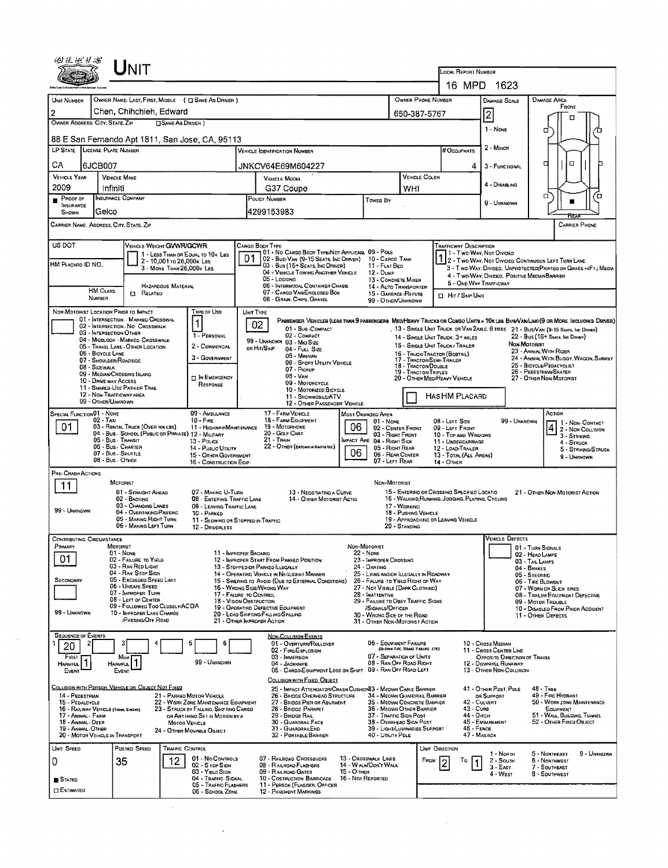|                                             |                                                                            |                                                                          |                                                                                               |                                                                                                                              |                                                                       |                                                                                     | LOCAL REPORT NUMBER                           |                                             |                                                                                                                                                         |
|---------------------------------------------|----------------------------------------------------------------------------|--------------------------------------------------------------------------|-----------------------------------------------------------------------------------------------|------------------------------------------------------------------------------------------------------------------------------|-----------------------------------------------------------------------|-------------------------------------------------------------------------------------|-----------------------------------------------|---------------------------------------------|---------------------------------------------------------------------------------------------------------------------------------------------------------|
|                                             |                                                                            |                                                                          |                                                                                               |                                                                                                                              |                                                                       |                                                                                     | 16 MPD 1623                                   |                                             |                                                                                                                                                         |
| UNIT NUMBER                                 |                                                                            | OWNER NAME: LAST, FIRST, MICOLE ( C SAME AS DRIVER )                     |                                                                                               |                                                                                                                              |                                                                       | OWNER PHONE NUMBER                                                                  | DAMAGE SCALE                                  |                                             | <b>DAMAGE AREA</b>                                                                                                                                      |
| $\overline{2}$                              | Chen, Chihchieh, Edward                                                    |                                                                          |                                                                                               |                                                                                                                              |                                                                       | 650-387-5767                                                                        | $\mathbf{2}$                                  |                                             | FRONT<br>o                                                                                                                                              |
|                                             | OWNER ADDRESS: CITY, STATE, ZIP                                            | <b>DSAME AS DRIVER</b> )                                                 |                                                                                               |                                                                                                                              |                                                                       |                                                                                     | 1 - None                                      |                                             | о                                                                                                                                                       |
|                                             |                                                                            | 88 E San Fernando Apt 1811, San Jose, CA, 95113                          |                                                                                               |                                                                                                                              |                                                                       |                                                                                     |                                               |                                             |                                                                                                                                                         |
|                                             | LP STATE LICENSE PLATE NUMBER                                              |                                                                          | <b>VEHICLE JOENTIFICATION NUMBER</b>                                                          |                                                                                                                              |                                                                       | # Occupants                                                                         | 2 - MINOR                                     |                                             |                                                                                                                                                         |
| CА                                          | 6JCB007                                                                    |                                                                          | JNKCV64E69M604227                                                                             |                                                                                                                              |                                                                       |                                                                                     | 4<br>3 - FUNCTIONAL                           |                                             | а<br>п                                                                                                                                                  |
| <b>VEHICLE YEAR</b>                         | <b>VEHICLE MAKE</b>                                                        |                                                                          | VEHICLE MODEL                                                                                 |                                                                                                                              |                                                                       | VEHICLE COLOR                                                                       | 4 - DISABLING                                 |                                             |                                                                                                                                                         |
| 2009<br>PROOF OF                            | Infiniti<br><b>INSURANCE COMPANY</b>                                       |                                                                          | G37 Coupe<br>POLICY NUMBER                                                                    |                                                                                                                              | WHI                                                                   |                                                                                     |                                               |                                             | Ω.                                                                                                                                                      |
| INSURANCE<br>SHOWN                          | Geico                                                                      |                                                                          | 14299153983                                                                                   |                                                                                                                              | Towen By                                                              |                                                                                     | 9 - UNKNOWN                                   |                                             |                                                                                                                                                         |
|                                             | CARRIER NAME, ADDRESS, CITY, STATE, ZIP                                    |                                                                          |                                                                                               |                                                                                                                              |                                                                       |                                                                                     |                                               |                                             | <b>CARRIER PHONE</b>                                                                                                                                    |
|                                             |                                                                            |                                                                          |                                                                                               |                                                                                                                              |                                                                       |                                                                                     |                                               |                                             |                                                                                                                                                         |
| US DOT                                      |                                                                            | VEHICLE WEIGHT GWWR/GCWR<br>1 - LESS THAN OR EQUAL TO 10K LBS            | Cargo Body Type<br>101 - No Cargo Body Type/Not Applicabl 09 - Pole                           |                                                                                                                              |                                                                       |                                                                                     | <b>TRAFFICWAY DESCRIPTION</b>                 |                                             |                                                                                                                                                         |
| HM PLACARD ID NO.                           |                                                                            | 2 - 10,001 to 26,000x Las<br>3 - MORE THAN 26,000K LBS.                  | 01 02 - Busi VAN (9-15 SEATS, INC DRIVER) 10 - CARGO TANK<br>03 - Bus (16+ Sears, Inc DRIVER) |                                                                                                                              | 11 - FLAT BED                                                         |                                                                                     |                                               |                                             | 1 3 - Two-Way, Not Divided<br>1 2 - Two-Way, Not Divided, Continuous Left Turn Lane<br>3 - Two WAY, DIVIDED, UNPROTECTED (PAINTED OR GRASS >4FT.) MEDIA |
|                                             |                                                                            |                                                                          | 04 - VEHICLE TOWING ANOTHER VEHICLE<br>05 - Logging                                           |                                                                                                                              | 12 - Duwr<br>13 - CONCRETE MIXER                                      |                                                                                     | 4 - Two-Way, Divideo, Positive Median Barrier |                                             |                                                                                                                                                         |
|                                             | <b>HM CLASS</b><br><b>D</b> RELATED                                        | <b>HAZARDOUS MATERIAL</b>                                                | 06 - INTERMODAL CONTAINER CHASIS<br>07 - CARGO VAN/ENCLOSED BOX                               |                                                                                                                              | 14 - AUTO TRANSPORTER<br>15 - GARBAGE /REFUSE                         |                                                                                     | 5 - ONE WAY TRAFFICWAY                        |                                             |                                                                                                                                                         |
|                                             | NUMBER                                                                     |                                                                          | 08 - GRAIN, CHIPS, GRAVEL                                                                     |                                                                                                                              | 99 - OTHER/UNKNOWN                                                    | D Hit / Skip Unit                                                                   |                                               |                                             |                                                                                                                                                         |
|                                             | NON-MOTORIST LOCATION PRIOR TO IMPACT<br>01 - INTERSECTION MARKED CROSSWAL | TYPE OF USE                                                              | UNIT TYPE                                                                                     | Passenger Vehicleb (less than 9 passengers Med/Heavy Trucks or Combo Units > 10k lbs Bus/VawLimo(9 or More Including Driver) |                                                                       |                                                                                     |                                               |                                             |                                                                                                                                                         |
|                                             | 02 - INTERSECTION - NO CROSSWALK<br>03 - INTERSECTION OTHER                |                                                                          | 02<br>01 - SUB - COMPACT                                                                      |                                                                                                                              |                                                                       | . 13 - SINGLE UNIT TRUCK OR VAN 2AXLE, 6 TRES 21 - BUS/VAN (9-15 SEATE, INC DRIVER) |                                               |                                             |                                                                                                                                                         |
|                                             | 04 - MIDBLOCK - MARKED CROSSWALK<br>05 - TRAVEL LANE - OTHER LOCATION      | 1 - PERSONAL<br>2 - COMMERCIAL                                           | 02 - COMPACT<br>99 - UNKNOWN 03 - MID SIZE                                                    |                                                                                                                              |                                                                       | 14 - SINGLE UNIT TRUCK: 3+ AXLES<br>15 - SINGLE UNIT TRUCK / TRALER                 |                                               | NON-MOTORIST                                | 22 - Bus (16+ Seats, Inc Driver)                                                                                                                        |
|                                             | 06 - BICYCLE LANE<br>07 - SHOULDER/ROADSIDE                                | 3 - GOVERNMENT                                                           | or Hit/Skip<br>04 - Full Size<br>05 - Minivan                                                 |                                                                                                                              |                                                                       | 16 - TRUCK/TRACTOR (BOBTAIL)<br>17 - TRACTOR/SEMI-TRAILER                           |                                               | 23 - ANIMAL WITH RIDER                      | 24 - ANIMAL WITH BUGGY, WAGON, SURREY                                                                                                                   |
|                                             | 08 - Sidewalk<br>09 - MEDIAN/CROSSING ISLAND                               |                                                                          | 06 - SPORT UTILITY VEHICLE<br>07 - PICKUP                                                     |                                                                                                                              |                                                                       | 18 - TRACTOR/DOUBLE<br>19 - TRACTOR/TRIPLES                                         |                                               |                                             | 25 - BICYCLE/PEDACYCLIST<br>26 - Pedestrian/Skater                                                                                                      |
|                                             | 10 - DRIVE WAY ACCESS<br>11 - SHARED-USE PATH OR TRAIL                     | <b>D IN EMERGENCY</b><br>RESPONSE                                        | $08 - V_{AN}$<br>09 - MOTORCYCLE                                                              |                                                                                                                              |                                                                       | 20 - Other MediMeavy Vehicle                                                        |                                               |                                             | 27 - Other Now Motorist                                                                                                                                 |
|                                             | 12 - NON-TRAFFICWAY AREA<br>99 - OTHER/UNKNOWN                             |                                                                          | 10 - MOTORIZED BICYCLE<br>11 - SNOWMOBILE/ATV                                                 |                                                                                                                              |                                                                       | HAS HM PLACARD                                                                      |                                               |                                             |                                                                                                                                                         |
| SPECIAL FUNCTION 01 - NONE                  |                                                                            | 09 - AMBULANCE                                                           | 12 - OTHER PASSENGER VEHICLE<br>17 - FARM VEHICLE                                             | MOST DAMAGEO AREA                                                                                                            |                                                                       |                                                                                     |                                               |                                             | ACTION                                                                                                                                                  |
| 01                                          | $02 - TAX1$<br>03 - RENTAL TRUCK (OVER 10K LBS)                            | $10 - F$ IRE<br>11 - HIGHWAY/MAINTENANCE                                 | 18 - FARM EQUIPMENT<br>19 - Мотряноме                                                         | 06                                                                                                                           | 01 - NONE<br>02 - CENTER FRONT                                        | 08 - LEFT SIDE<br>09 - LEFT FRONT                                                   |                                               | 99 - Unknown                                | 1 1 - Non-Contact                                                                                                                                       |
|                                             | 05 - Bus - Transit                                                         | 04 - Bus - School (Public or Private) 12 - MILITARY                      | 20 - GOLF CART<br>$21 -$ Train                                                                |                                                                                                                              | 03 - Right Front<br>MPACT ARE 04 - RIGHT SIDE                         |                                                                                     | 10 - TOP AND WINDOWS                          |                                             | 4 2 - Non-Contact<br>3 - STRIKING                                                                                                                       |
|                                             | 06 - Bus - CHARTER<br>07 - Bus - SHUTTLE                                   | 13 - Pouce<br>14 - Pusuc Unuty                                           | 22 - OTHER (EXPLAIN IN NARRATIVE)                                                             | 06                                                                                                                           | 05 - RIGHT REAR                                                       | 11 - UNDERCARRIAGE<br>12 - LOAD/TRAILER                                             |                                               |                                             | 4 - STRUCK<br>5 - STRIKING/STRUCK                                                                                                                       |
|                                             | 08 - Bus - Other                                                           | 15 - OTHER GOVERNMENT<br>16 - CONSTRUCTION EOIP.                         |                                                                                               |                                                                                                                              | 06 - REAR CENTER<br>07 - LEFT REAR                                    | 14 - OTHER                                                                          | 13 - TOTAL (ALL AREAS)                        |                                             | 9 - UNKNOWN                                                                                                                                             |
| PRE- CRASH ACTIONS                          |                                                                            |                                                                          |                                                                                               |                                                                                                                              |                                                                       |                                                                                     |                                               |                                             |                                                                                                                                                         |
| 11                                          | MOTORIST<br>01 - STRAIGHT AHEAD                                            | 07 - MAKING U-TURN                                                       | 13 - NEGOTIATING A CURVE                                                                      |                                                                                                                              | Non-Motorist                                                          | 15 - ENTERING OR CROSSING SPECIFIED LOCATIO                                         |                                               |                                             | 21 - OTHER NON-MOTORIST ACTION                                                                                                                          |
|                                             | 02 - BACKING<br>03 - CHANGING LANES                                        | 08 - ENTERING TRAFFIC LANE<br>09 - LEAVING TRAFFIC LANE                  | 14 - OTHER MOTORIST ACTIO                                                                     |                                                                                                                              | 17 - WORKING                                                          | 16 - WALKING RUNNING, JOGGING, PLAYING, CYCLING                                     |                                               |                                             |                                                                                                                                                         |
| 99 - UNKNOWN                                | 04 - OVERTAKING/PASSING<br>05 - MAKING RIGHT TURN                          | 10 - PARKED                                                              | 11 - SLOWING OR STOPPED IN TRAFFIC                                                            |                                                                                                                              | 18 - PUSHING VEHICLE                                                  | 19 - APPROACHING OR LEAVING VEHICLE                                                 |                                               |                                             |                                                                                                                                                         |
|                                             | 06 - MAKING LEFT TURN                                                      | 12 - DRIVERLESS                                                          |                                                                                               |                                                                                                                              | 20 - STANDING                                                         |                                                                                     |                                               |                                             |                                                                                                                                                         |
| <b>CONTRIBUTING CIRCUMSTANCE</b><br>PRIMARY | MOTORIST                                                                   |                                                                          |                                                                                               | NDN-MOTORIST                                                                                                                 |                                                                       |                                                                                     |                                               | <b>VEHICLE DEFECTS</b><br>01 - TURN SIGNALS |                                                                                                                                                         |
| 01                                          | $01 - None$<br>02 - FAILURE TO YIELD                                       |                                                                          | 11 - IMPROPER BACKING<br>12 - IMPROPER START FROM PARKED POSITION                             | 22 - None                                                                                                                    | 23 - IMPROPER CROSSING                                                |                                                                                     |                                               | 02 - HEAO LAMPS<br>03 - TAIL LAMPS          |                                                                                                                                                         |
|                                             | 03 - RAN RED LIGHT<br>04 - RAN STOP SIGN                                   |                                                                          | 13 - STOPPED OR PARKED ILLEGALLY<br>14 - OPERATING VEHICLE IN NEGLIGENT MANNER                | 24 - Darting                                                                                                                 | 25 - LYING AND/OR LLEGALLY IN RDADWAY                                 |                                                                                     |                                               | 04 - BRAKES<br>05 - STEERING                |                                                                                                                                                         |
| SECONDARY                                   | 05 - Excessed Speso Limit<br>06 - UNSAFE SPEED                             |                                                                          | 15 - Swering to Avoid (Due to External Conditions)<br>16 - WRONG SIDE/WRONG WAY               |                                                                                                                              | 26 - FALURE TO YIELD RIGHT OF WAY<br>27 - NOT VISIBLE (DARK CLOTHING) |                                                                                     |                                               | 06 - TIRE BLOWOUT                           |                                                                                                                                                         |
|                                             | 07 - IMPROPER TURN<br>08 - LEFT OF CENTER                                  |                                                                          | 17 - FALURE TO CONTROL<br>18 - VISION OBSTRUCTION                                             | 28 - INATTENTIVE                                                                                                             | 29 - FAILURE TO OBEY TRAFFIC SIGNS                                    |                                                                                     |                                               |                                             | 07 - WORN OR SLICK TIRES<br>08 - TRALER EQUIPMENT DEFECTIVE                                                                                             |
|                                             | 09 - FOLLOWED TOO CLDSELY/ACDA<br>10 - IMPROPER LANE CHANGE                |                                                                          | 19 - OPERATING DEPECTIVE EQUIPMENT<br>20 - LOAD SHIFTING/FALLING/SPILLING                     |                                                                                                                              | /SIGNALS/OFFICER                                                      |                                                                                     |                                               |                                             | 09 - MOTOR TROUBLE<br>10 - Disabled From Prior Accident                                                                                                 |
| 99 - UNKNOWN                                | /PASSING/OFF ROAD                                                          |                                                                          | 21 - OTHER IMPROPER ACTION                                                                    |                                                                                                                              | 30 - WRONG SIDE OF THE ROAD<br>31 - OTHER NON-MOTORIST ACTION         |                                                                                     |                                               |                                             | 11 - OTHER DEFECTS                                                                                                                                      |
|                                             |                                                                            |                                                                          | <b>NON-COLLISION EVENTS</b>                                                                   |                                                                                                                              |                                                                       |                                                                                     |                                               |                                             |                                                                                                                                                         |
| <b>SEQUENCE OF EVENTS</b>                   |                                                                            |                                                                          | 01 - OVERTURN/ROLLOVER<br>02 - FIRE/EXPLOSION                                                 |                                                                                                                              | 06 - EQUIPMENT FAILURE<br><b>IBLOWN TIPE, BRAKE FAQURE, ETC)</b>      |                                                                                     | 10 - Cross Median<br>11 - CROSS CENTER LINE   |                                             |                                                                                                                                                         |
| 20                                          |                                                                            | 5<br>6                                                                   |                                                                                               |                                                                                                                              |                                                                       |                                                                                     | 12 - DOWNHILL RUNAWAY                         | OPPOSITE DIRECTION OF TRAVEL                |                                                                                                                                                         |
| First<br>HARMFUL <sup>1</sup>               | Most<br>HARMFUL <sup>1</sup>                                               | 99 - UNKNDWN                                                             | 03 - IMMERSION<br>04 - JACKKNIFE                                                              |                                                                                                                              | 07 - SEPARATION OF UNITS<br>08 - RAN OFF ROAD RIGHT                   |                                                                                     |                                               |                                             |                                                                                                                                                         |
| EVENT                                       | EVENT                                                                      |                                                                          | 05 - CARGO/EQUIPMENT LOSS OR SHIFT                                                            |                                                                                                                              | 09 - RAN OFF ROAD LEFT                                                |                                                                                     | 13 - OTHER NON-COLLISION                      |                                             |                                                                                                                                                         |
|                                             | COLLISION WITH PERSON, VEHICLE OR OBJECT NOT FIXED                         |                                                                          | COLLISION WITH FIXED, OBJECT<br>25 - IMPACT ATTENUATOR/CRASH CUSHION33 - MEDIAN CABLE BARRIER |                                                                                                                              |                                                                       |                                                                                     | 41 - OTHER POST, POLE                         |                                             | $48 - \mathsf{T}_{\mathsf{REE}}$                                                                                                                        |
| 14 - PEDESTRIAN<br>15 - PEDALCYCLE          |                                                                            | 21 - PARKED MOTOR VEHICLE<br>22 - WORK ZONE MAINTENANCE EQUIPMENT        | 26 - BRIDGE OVERHEAD STRUCTURE<br>27 - BRIDGE PIER OR ABUTMENT                                |                                                                                                                              | 34 - MEQIAN GUARDRAIL BARRIER<br>35 - MEDIAN CONCRETE BARRIER         |                                                                                     | OR SUPPORT<br>42 - CULVERT                    |                                             | 49 - FIRE HYDRANT                                                                                                                                       |
| 17 - Animal - Farm                          | 16 - RAILWAY VEHICLE (TRAN, ENGINE)                                        | 23 - STRUCK BY FALLING, SHIFTING CARGD<br>OR ANYTHING SET IN MOTION BY A | 28 - BRIDGE PARAPET<br>29 - BRIDGE RAIL                                                       |                                                                                                                              | 36 - MEQIAN OTHER BARRIER<br>37 - TRAFFIC SIGN POST                   |                                                                                     | 43 - Cuns<br>44 - Олсн                        |                                             | 50 - WORK ZONE MAINTENANCE<br>EQUIPMENT<br>51 - WALL, BUILDING, TUNNEL                                                                                  |
| 18 - Animal - Deer<br>19 - ANIMAL OTHER     |                                                                            | MOTOR VEHICLE<br>24 - Отнек Моулеце Овлест                               | 30 - GUARDRAIL FACE<br>31 - GUARDRAILEND                                                      |                                                                                                                              | 38 - OVERHEAD SIGN POST<br>39 - LIGHT/LUMINARIES SUPPORT              |                                                                                     | 45 - EMBANKMENT<br>$46 -$ FENCE               |                                             |                                                                                                                                                         |
|                                             | 20 - MOTOR VEHICLE IN TRANSPORT                                            |                                                                          | 32 - PORTABLE BARRIER                                                                         |                                                                                                                              | 40 - UTILITY POLE                                                     |                                                                                     | 47 - MAILBOX                                  |                                             |                                                                                                                                                         |
| UNIT SPEED                                  | POSTED SPEED                                                               | TRAFFIC CONTROL                                                          |                                                                                               |                                                                                                                              |                                                                       | UNIT DIRECTION                                                                      | 1 - North                                     |                                             | 52 - Отнея Fixed Object<br>5 - NORTHEAST<br>9 - UNKNOWN                                                                                                 |
| 0                                           | 35                                                                         | 01 - No CONTROLS<br>12<br>02 - S TOP SIGN                                | 07 - RAILROAD CROSSBUCKS<br>08 - RAILROAD FLASHERS                                            | 13 - CROSSWALK LINES<br>14 - W ALK/DON'T WALK                                                                                |                                                                       | FROM                                                                                | To<br>2 - South<br>$3 - E$ AST                |                                             | 6 - NORTHWEST<br>7 - SOUTHEAST                                                                                                                          |
| STATED                                      |                                                                            | 03 - YIELD SIGN<br>04 - TRAFFIC SIGNAL                                   | 09 - RAILROAD GATES<br>10 - COSTRUCTION BARRICADE                                             | $15 - O$ THER<br>16 - Not Reported                                                                                           |                                                                       |                                                                                     | 4 - West                                      |                                             | 8 - SDUTHWEST                                                                                                                                           |
| <b>CI ESTIMATED</b>                         |                                                                            | 05 - TRAFFIC FLASHERS<br>06 - SCHOOL ZONE                                | 11 - PERSON (FLAGGER, OFFICER<br>12 - PAVEMENT MARKINGS                                       |                                                                                                                              |                                                                       |                                                                                     |                                               |                                             |                                                                                                                                                         |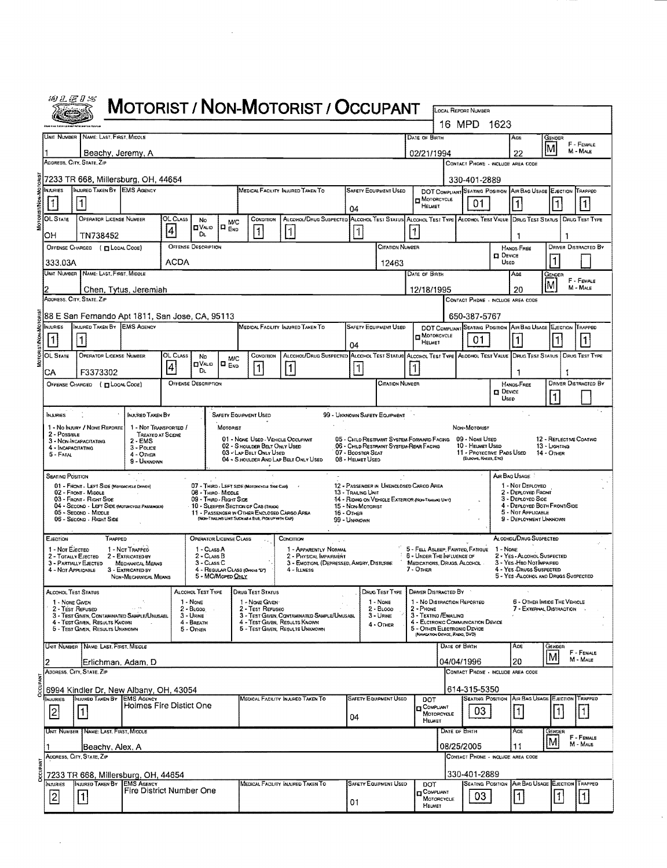|                  | 的年毛儿说                                        |                                                                                                  |                                                                   |                  |                                             |                                                                   |                                                                                                                                          | MOTORIST / NON-MOTORIST / OCCUPANT                                                                                    |            |                                         |                                                   |              |                                                               |               |                                               |                         |                                                                                    |                             |                                                               |                             |  |
|------------------|----------------------------------------------|--------------------------------------------------------------------------------------------------|-------------------------------------------------------------------|------------------|---------------------------------------------|-------------------------------------------------------------------|------------------------------------------------------------------------------------------------------------------------------------------|-----------------------------------------------------------------------------------------------------------------------|------------|-----------------------------------------|---------------------------------------------------|--------------|---------------------------------------------------------------|---------------|-----------------------------------------------|-------------------------|------------------------------------------------------------------------------------|-----------------------------|---------------------------------------------------------------|-----------------------------|--|
|                  |                                              |                                                                                                  |                                                                   |                  |                                             |                                                                   |                                                                                                                                          |                                                                                                                       |            |                                         |                                                   |              |                                                               | 16 MPD        | LOCAL REPORT NUMBER                           | 1623                    |                                                                                    |                             |                                                               |                             |  |
|                  |                                              | UNIT NUMBER   NAME: LAST, FIRST, MIDDLE                                                          |                                                                   |                  |                                             |                                                                   |                                                                                                                                          |                                                                                                                       |            |                                         |                                                   |              | DATE OF BIRTH                                                 |               |                                               |                         | AGE                                                                                | <b>GENDER</b>               |                                                               |                             |  |
|                  |                                              | Beachy, Jeremy, A                                                                                |                                                                   |                  |                                             |                                                                   |                                                                                                                                          |                                                                                                                       |            |                                         |                                                   |              | 02/21/1994                                                    |               |                                               |                         | 22                                                                                 | lМ                          |                                                               | F - FEMALE<br>M - MALE      |  |
|                  |                                              | ADDRESS CITY STATE ZIP                                                                           |                                                                   |                  |                                             |                                                                   |                                                                                                                                          |                                                                                                                       |            |                                         |                                                   |              |                                                               |               | CONTACT PHONE - INCLUDE AREA CODE             |                         |                                                                                    |                             |                                                               |                             |  |
|                  |                                              | 7233 TR 668, Millersburg, OH, 44654                                                              |                                                                   |                  |                                             |                                                                   |                                                                                                                                          |                                                                                                                       |            |                                         |                                                   |              |                                                               |               | 330-401-2889                                  |                         |                                                                                    |                             |                                                               |                             |  |
|                  | <b>NJURIES</b>                               | <b>INJURED TAKEN BY EMS AGENCY</b>                                                               |                                                                   |                  |                                             |                                                                   |                                                                                                                                          | MEDICAL FACILITY INJURED TAKEN TO                                                                                     |            |                                         | <b>SAFETY EQUIPMENT USED</b>                      |              | MOTORCYCLE                                                    |               |                                               |                         | DOT COMPLIANT SEATING POSITION AIR BAG USAGE EJECTION TRAPPED                      |                             |                                                               |                             |  |
|                  | 1                                            |                                                                                                  |                                                                   |                  |                                             |                                                                   |                                                                                                                                          |                                                                                                                       |            | 04                                      |                                                   |              | HELMET                                                        |               | 01                                            |                         |                                                                                    |                             |                                                               | 1                           |  |
|                  | OL STATE                                     | OPERATOR LICENSE NUMBER                                                                          |                                                                   | OL CLASS<br>4    | No<br><b>OVALIO</b>                         | M/C<br>$\Box$ $E_{ND}$                                            | CONDITION<br>$\vert$ 1                                                                                                                   | ALCOHOL/DRUG SUSPECTED ALCOHOL TEST STATUS ALCOHOL TEST TYPE ALCOHOL TEST VALUE DRUG TEST STATUS<br>$\vert$ 1 $\vert$ |            | 1                                       |                                                   | $\mathbf{1}$ |                                                               |               |                                               |                         |                                                                                    |                             |                                                               | Daug Test Type              |  |
|                  | OН                                           | TN738452<br>OFFENSE CHARGED ( EL LOCAL COOE)                                                     |                                                                   |                  | DL<br><b>OFFENSE DESCRIPTION</b>            |                                                                   |                                                                                                                                          |                                                                                                                       |            |                                         | CITATION NUMBER                                   |              |                                                               |               |                                               |                         | -1<br><b>HANDS-FREE</b>                                                            |                             |                                                               | <b>DRIVER DISTRACTED BY</b> |  |
|                  | 333.03A                                      |                                                                                                  |                                                                   | ACDA             |                                             |                                                                   |                                                                                                                                          |                                                                                                                       |            |                                         | 12463                                             |              |                                                               |               |                                               | <b>D</b> Device<br>Usep |                                                                                    | $\vert$ 1                   |                                                               |                             |  |
|                  |                                              | UNIT NUMBER   NAME: LAST, FIRST, MIDDLE                                                          |                                                                   |                  |                                             |                                                                   |                                                                                                                                          |                                                                                                                       |            |                                         |                                                   |              | DATE OF BIRTH                                                 |               |                                               |                         | Age                                                                                | Gender                      |                                                               |                             |  |
|                  |                                              | Chen, Tytus, Jeremiah                                                                            |                                                                   |                  |                                             |                                                                   |                                                                                                                                          |                                                                                                                       |            |                                         |                                                   |              | 12/18/1995                                                    |               |                                               |                         | 20                                                                                 | İΜ                          |                                                               | F - FEMALE<br>M - MALE      |  |
|                  |                                              | ADDRESS, CITY, STATE, ZIP                                                                        |                                                                   |                  |                                             |                                                                   |                                                                                                                                          |                                                                                                                       |            |                                         |                                                   |              |                                                               |               | CONTACT PHONE - INCLUDE AREA CODE             |                         |                                                                                    |                             |                                                               |                             |  |
|                  | NJURIES                                      | 88 E San Fernando Apt 1811, San Jose, CA, 95113<br>INJURED TAKEN BY EMS AGENCY                   |                                                                   |                  |                                             | MEDICAL FACILITY INJURED TAKEN TO<br><b>SAFETY EQUIPMENT USED</b> |                                                                                                                                          |                                                                                                                       |            |                                         |                                                   |              |                                                               |               | 650-387-5767                                  |                         |                                                                                    |                             | DOT COMPLIANT SEATING POSITION AIR BAG USAGE EJECTION TRAPPED |                             |  |
|                  | $\vert$ 1                                    | 1                                                                                                |                                                                   |                  |                                             |                                                                   |                                                                                                                                          |                                                                                                                       |            |                                         |                                                   |              | MOTORCYCLE<br>HELMET                                          |               | 01                                            |                         |                                                                                    | 1                           |                                                               | $\mathbf{1}$                |  |
| MOTORIST/NON-MOT | OL STATE                                     | OPERATOR LICENSE NUMBER                                                                          |                                                                   | OL CLASS         | No                                          | M/C                                                               | CONDITION                                                                                                                                | ALCOHOL/DRUG SUSPECTED ALCOHOL TEST STATUS ALCOHOL TEST TYPE ALCOHOL TEST VALUE DRUG TEST STATUS                      |            | 04                                      |                                                   |              |                                                               |               |                                               |                         |                                                                                    |                             |                                                               | DRUG TEST TYPE              |  |
|                  | CА                                           | F3373302                                                                                         |                                                                   | $\left 4\right $ | <b>OVAID</b><br>DL.                         | lo <sub>Ero</sub>                                                 | $\mathbf 1$                                                                                                                              | 1                                                                                                                     |            | 11                                      |                                                   |              |                                                               |               |                                               |                         | $\mathbf{1}$                                                                       |                             |                                                               |                             |  |
|                  |                                              | OFFENSE CHARGED ( [ LOCAL CODE)                                                                  |                                                                   |                  | <b>OFFENSE DESCRIPTION</b>                  |                                                                   |                                                                                                                                          |                                                                                                                       |            |                                         | Citation Number                                   |              |                                                               |               |                                               | <b>DEVICE</b>           | <b>HANOS-FREE</b>                                                                  |                             |                                                               | <b>DRIVER DISTRACTED BY</b> |  |
|                  |                                              |                                                                                                  |                                                                   |                  |                                             |                                                                   |                                                                                                                                          |                                                                                                                       |            |                                         |                                                   |              |                                                               |               |                                               | Usep                    |                                                                                    |                             |                                                               |                             |  |
|                  | <b>INJURIES</b>                              |                                                                                                  | <b>INJURED TAKEN BY</b>                                           |                  |                                             |                                                                   | <b>SAFETY EQUIPMENT USED</b>                                                                                                             |                                                                                                                       |            |                                         | 99 - UNKNOWN SAFETY EQUIPMENT                     |              |                                                               |               |                                               |                         |                                                                                    |                             |                                                               |                             |  |
|                  | 2 - POSSIBLE                                 | 1 - No INJURY / NONE REPORTE<br>3 - NON-INCAPACITATING                                           | 1 - Not Transported /<br>TREATED AT SCENE<br>2 - EMS              |                  |                                             | MOTORIST                                                          | 01 - NONE USED - VEHICLE OCCUPANT                                                                                                        |                                                                                                                       |            |                                         | 05 - CHILD RESTRAINT SYSTEM-FORWARD FACING        |              |                                                               |               | NON-MOTORIST<br>09 - None Usep                |                         |                                                                                    |                             |                                                               | 12 - REFLECTIVE COATING     |  |
|                  | 4 - Incapacitating<br>5 - FATAL              |                                                                                                  | $3 -$ Police<br>$4 -$ OTHER                                       |                  |                                             |                                                                   | 02 - S HOULDER BELT ONLY USED<br>03 - LAP BELT ONLY USED                                                                                 |                                                                                                                       |            | 07 - BOOSTER SEAT                       | 06 - Child Restraint System-Rear Facing           |              |                                                               |               | 10 - HELMET USED<br>11 - Protective PADS USED |                         |                                                                                    | 13 - Lighting<br>14 - OTHER |                                                               |                             |  |
|                  |                                              |                                                                                                  | 9 - UNKNOWN                                                       |                  |                                             |                                                                   |                                                                                                                                          | 04 - S HOULDER AND LAP BELT ONLY USED                                                                                 |            | 08 - HELMET USED                        |                                                   |              |                                                               |               | (ELBOWS, KWEES, ETC)                          |                         |                                                                                    |                             |                                                               |                             |  |
|                  | <b>SEATING POSITION</b>                      | 01 - FRONT - LEFT SIDE (MOTORCYCLE DRIVER)                                                       |                                                                   |                  |                                             |                                                                   | 07 - THIRD - LEFT SIDE (MOTORCYCLE SIDE CAR)                                                                                             |                                                                                                                       |            |                                         | 12 - PASSENGER IN UNENCLOSED CARGO AREA           |              |                                                               |               |                                               |                         | Air Bag Usage<br>1 - Not DEPLOYED                                                  |                             |                                                               |                             |  |
|                  |                                              | 02 - FRONT - MIDDLE<br>03 - FRONT - RIGHT SIDE<br>04 - SECOND - LEFT SIDE (MOTORCYCLE PASSENGER) |                                                                   |                  | 08 - THIRD MIDDLE<br>09 - THRD - RIGHT SIDE |                                                                   |                                                                                                                                          |                                                                                                                       |            | 13 - Trailing Unit<br>15 - Non-Motorist | 14 - RIDING ON VEHICLE EXTERIOR (NON-TRAING UNIT) |              |                                                               |               |                                               |                         | 2 - DEPLOYED FRONT<br>3 - DEPLOYED SIDE<br>4 - DEPLOYED BOTH FRONT/SIDE            |                             |                                                               |                             |  |
|                  |                                              | 05 - Second - Middle<br>06 - Second - Right Side                                                 |                                                                   |                  |                                             |                                                                   | 10 - SLEEPER SECTION OF CAS (TRUCK)<br>11 - PASSENGER IN OTHER ENCLOSED CARGO AREA<br>(NON-TRAILING UNIT SUCH AS A BUB, PICKUP WITH CAP) |                                                                                                                       | 16 - Отнея | 99 - Unknown                            |                                                   |              |                                                               |               |                                               |                         | 5 - NOT APPLICABLE<br>9 - DEPLOYMENT UNKNOWN                                       |                             |                                                               |                             |  |
|                  |                                              |                                                                                                  |                                                                   |                  | <b>OPERATOR LICENSE CLASS</b>               |                                                                   |                                                                                                                                          |                                                                                                                       |            |                                         |                                                   |              |                                                               |               |                                               |                         | ALCOHOL/DRUG SUSPECTED                                                             |                             |                                                               |                             |  |
|                  | EJECTION<br>1 - Nor Electeo                  | TRAPPED                                                                                          | 1 - Not Trappeo                                                   |                  | 1 - CLASS A                                 |                                                                   |                                                                                                                                          | CONDITION<br>1 - APPARENTLY NORMAL                                                                                    |            |                                         |                                                   |              | 5 - FELL ASLEEP, FAINTED, FATIGUE                             |               |                                               | 1 - None                |                                                                                    |                             |                                                               |                             |  |
|                  | 2 - TOTALLY EJECTED<br>4 - NOT APPLICABLE    | 3 - PARTMLLY EJECTED                                                                             | 2 - EXTRICATED BY<br><b>MECHANICAL MEANS</b><br>3 - EXTRICATED BY |                  | $2 - C$ LASS $B$<br>3 - CLASS C             |                                                                   | 4 - REGULAR CLASS (ONOIS D')                                                                                                             | 2 - PHYSICAL IMPAIRMENT<br>3 - EMOTIONL (DEPRESSED, ANGRY, DISTURBE<br>4 - ILLNESS                                    |            |                                         |                                                   | 7 - OTHER    | 6 - UNDER THE INFLUENCE OF<br>MEDICATIONS, DRUGS, ALCOHOL     |               |                                               |                         | 2 - YES - ALCOHOL SUSPECTED<br>3 - Yes-Hao Notimpared<br>4 - Yes - Drugs Suspected |                             |                                                               |                             |  |
|                  |                                              |                                                                                                  | NON-MECHANICAL MEANS                                              |                  | 5 - MC/Moped Only                           |                                                                   |                                                                                                                                          |                                                                                                                       |            |                                         |                                                   |              |                                                               |               |                                               |                         | 5 - YES-ALCOHOL AND DRUGS SUSPECTED                                                |                             |                                                               |                             |  |
|                  | <b>ALCOHOL TEST STATUS</b><br>1 - NONE GIVEN |                                                                                                  |                                                                   |                  | Alcohol Test Type<br>1 - None               |                                                                   | <b>Drug Test Status</b><br>1 - NONE GIVEN                                                                                                |                                                                                                                       |            |                                         | Drug Test Type<br>1 - NONE                        |              | DRIVER DISTRACTED BY<br>1 - No Distraction Reported           |               |                                               |                         | 6 - OTHEN INSIDE THE VEHICLE                                                       |                             |                                                               |                             |  |
|                  | 2 - TEST REFUSED                             | 3 - TEST GIVEN, CONTAMINATED SAMPLE/UNUSABL                                                      |                                                                   |                  | $2 - BL$ COD<br>$3 -$ URINE                 |                                                                   | 2 - Test Rerusso                                                                                                                         | 3 - TEST GIVEN, CONTAMINATED SAMPLE/UNUSABL                                                                           |            |                                         | $2 - BLOOD$<br>3 - URINE                          | $2 -$ Phone  | 3 - TEXTINO / EMAILING                                        |               |                                               |                         | <b>7 - EXTERNAL DISTRACTION</b>                                                    |                             |                                                               |                             |  |
|                  |                                              | 4 - Test Given, Results Known<br>5 - TEST GIVEN, RESULTS UNKNOWN                                 |                                                                   |                  | 4 - BREATH<br>5 - Onier                     |                                                                   |                                                                                                                                          | 4 - TEST GIVEN, RESULTS KNOWN<br>5 - TEST GIVEN, RESULTS UNKNOWN                                                      |            |                                         | 4 - OTHER                                         |              | 5 - OTHER ELECTRONIC DEVICE<br>(NAWGATION DEVICE, RADIO, DVD) |               | 4 - ELCTRONIC COMMUNICATION DEVICE            |                         |                                                                                    |                             |                                                               |                             |  |
|                  |                                              | UNIT NUMBER NAME: LAST, FIRST, MIDDLE                                                            |                                                                   |                  |                                             |                                                                   |                                                                                                                                          |                                                                                                                       |            |                                         |                                                   |              |                                                               | DATE OF BIRTH |                                               |                         | Age                                                                                | GENDER                      |                                                               |                             |  |
|                  |                                              | Erlichman, Adam, D                                                                               |                                                                   |                  |                                             |                                                                   |                                                                                                                                          |                                                                                                                       |            |                                         |                                                   |              |                                                               | 04/04/1996    |                                               |                         | 20                                                                                 | ١M                          |                                                               | F - FEMALE<br>M - MALE      |  |
|                  |                                              | ADDRESS, CITY, STATE, ZIP                                                                        |                                                                   |                  |                                             |                                                                   |                                                                                                                                          |                                                                                                                       |            |                                         |                                                   |              |                                                               |               | CONTACT PHONE - INCLUDE AREA CODE             |                         |                                                                                    |                             |                                                               |                             |  |
| DCCUPANT         | NJURIES                                      | 6994 Kindler Dr, New Albany, OH, 43054<br>Injured Taken By                                       | <b>EMS AGENCY</b>                                                 |                  |                                             |                                                                   |                                                                                                                                          | Medical Facility Injured Taken To                                                                                     |            |                                         | <b>SAFETY EQUIPMENT USED</b>                      |              | DOT                                                           |               | 614-315-5350                                  |                         | <b>SEATING POSITION AIR BAG USAGE EJECTION</b>                                     |                             |                                                               | TRAPPED                     |  |
|                  | $\overline{2}$                               | $\overline{\phantom{0}}$                                                                         | Holmes Fire Distict One                                           |                  |                                             |                                                                   |                                                                                                                                          |                                                                                                                       |            |                                         |                                                   |              | <b>Q</b> COMPLIANT<br>MOTORCYCLE                              |               | 03                                            |                         | $\vert$ 1                                                                          | $\vert$ 1                   |                                                               | $\mathbf{1}$                |  |
|                  |                                              | UNIT NUMBER   NAME: LAST, FIRST, MIDDLE                                                          |                                                                   |                  |                                             |                                                                   |                                                                                                                                          |                                                                                                                       |            | 04                                      |                                                   |              | HELMET                                                        | DATE OF BIRTH |                                               |                         | AGE                                                                                | Gender                      |                                                               |                             |  |
|                  |                                              | Beachy, Alex, A                                                                                  |                                                                   |                  |                                             |                                                                   |                                                                                                                                          |                                                                                                                       |            |                                         |                                                   |              |                                                               | 08/25/2005    |                                               |                         | 11                                                                                 | ΙM                          |                                                               | F - FEMALE<br>M - Male      |  |
|                  |                                              | ADDRESS, CITY, STATE, ZIP                                                                        |                                                                   |                  |                                             |                                                                   |                                                                                                                                          |                                                                                                                       |            |                                         |                                                   |              |                                                               |               | CONTACT PHONE - INCLUDE AREA CODE             |                         |                                                                                    |                             |                                                               |                             |  |
| <b>DCCUPANT</b>  |                                              | 7233 TR 668, Millersburg, OH, 44654                                                              |                                                                   |                  |                                             |                                                                   |                                                                                                                                          |                                                                                                                       |            |                                         |                                                   |              |                                                               |               | 330-401-2889                                  |                         |                                                                                    |                             |                                                               |                             |  |
|                  | NJURIES                                      | NJURED TAKEN BY                                                                                  | <b>EMS AGENCY</b><br>Fire District Number One                     |                  |                                             |                                                                   |                                                                                                                                          | MEDICAL FACILITY INJURED TAKEN TO                                                                                     |            |                                         | <b>SAFETY EQUIPMENT USED</b>                      |              | DOT<br>COMPLIANT                                              |               | <b>SEATING POSITION</b><br>03                 |                         | AIR BAG USAGE EJECTION TRAPPED<br> 1                                               | $\vert$ 1 $\vert$           |                                                               | $\vert$ 1                   |  |
|                  | $\overline{2}$                               | $\vert$ 1 $\vert$                                                                                |                                                                   |                  |                                             |                                                                   |                                                                                                                                          |                                                                                                                       |            | 01                                      |                                                   |              | MOTORCYCLE<br>HELMET                                          |               |                                               |                         |                                                                                    |                             |                                                               |                             |  |